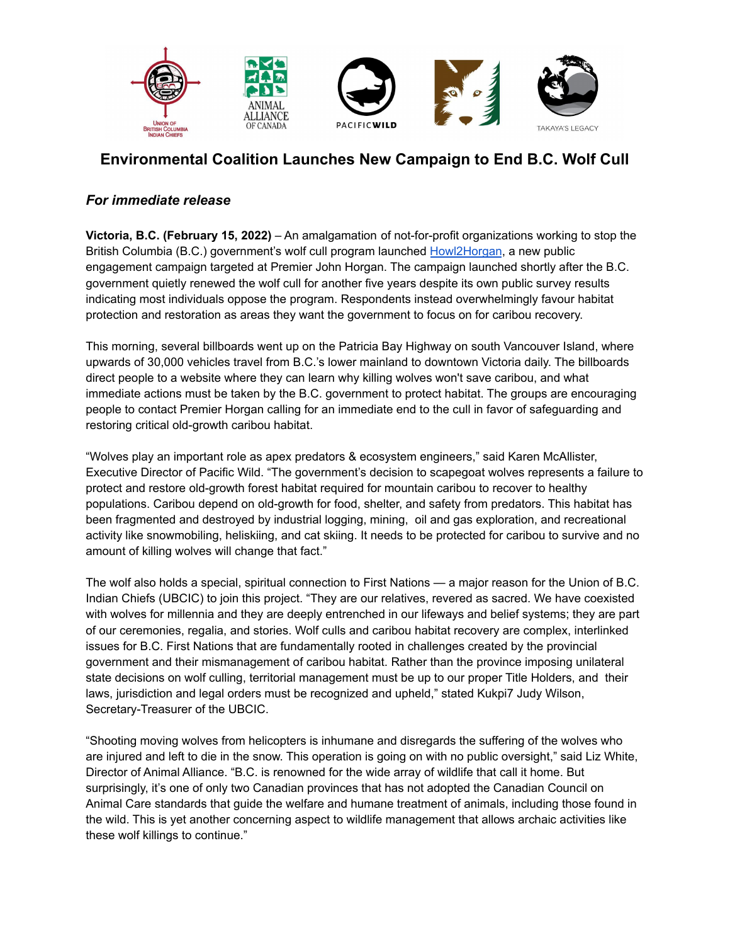

## **Environmental Coalition Launches New Campaign to End B.C. Wolf Cull**

## *For immediate release*

**Victoria, B.C. (February 15, 2022)** – An amalgamation of not-for-profit organizations working to stop the British Columbia (B.C.) government's wolf cull program launched [Howl2Horgan](https://howl2horgan.org/), a new public engagement campaign targeted at Premier John Horgan. The campaign launched shortly after the B.C. government quietly renewed the wolf cull for another five years despite its own public survey results indicating most individuals oppose the program. Respondents instead overwhelmingly favour habitat protection and restoration as areas they want the government to focus on for caribou recovery.

This morning, several billboards went up on the Patricia Bay Highway on south Vancouver Island, where upwards of 30,000 vehicles travel from B.C.'s lower mainland to downtown Victoria daily. The billboards direct people to a website where they can learn why killing wolves won't save caribou, and what immediate actions must be taken by the B.C. government to protect habitat. The groups are encouraging people to contact Premier Horgan calling for an immediate end to the cull in favor of safeguarding and restoring critical old-growth caribou habitat.

"Wolves play an important role as apex predators & ecosystem engineers," said Karen McAllister, Executive Director of Pacific Wild. "The government's decision to scapegoat wolves represents a failure to protect and restore old-growth forest habitat required for mountain caribou to recover to healthy populations. Caribou depend on old-growth for food, shelter, and safety from predators. This habitat has been fragmented and destroyed by industrial logging, mining, oil and gas exploration, and recreational activity like snowmobiling, heliskiing, and cat skiing. It needs to be protected for caribou to survive and no amount of killing wolves will change that fact."

The wolf also holds a special, spiritual connection to First Nations — a major reason for the Union of B.C. Indian Chiefs (UBCIC) to join this project. "They are our relatives, revered as sacred. We have coexisted with wolves for millennia and they are deeply entrenched in our lifeways and belief systems; they are part of our ceremonies, regalia, and stories. Wolf culls and caribou habitat recovery are complex, interlinked issues for B.C. First Nations that are fundamentally rooted in challenges created by the provincial government and their mismanagement of caribou habitat. Rather than the province imposing unilateral state decisions on wolf culling, territorial management must be up to our proper Title Holders, and their laws, jurisdiction and legal orders must be recognized and upheld," stated Kukpi7 Judy Wilson, Secretary-Treasurer of the UBCIC.

"Shooting moving wolves from helicopters is inhumane and disregards the suffering of the wolves who are injured and left to die in the snow. This operation is going on with no public oversight," said Liz White, Director of Animal Alliance. "B.C. is renowned for the wide array of wildlife that call it home. But surprisingly, it's one of only two Canadian provinces that has not adopted the Canadian Council on Animal Care standards that guide the welfare and humane treatment of animals, including those found in the wild. This is yet another concerning aspect to wildlife management that allows archaic activities like these wolf killings to continue."